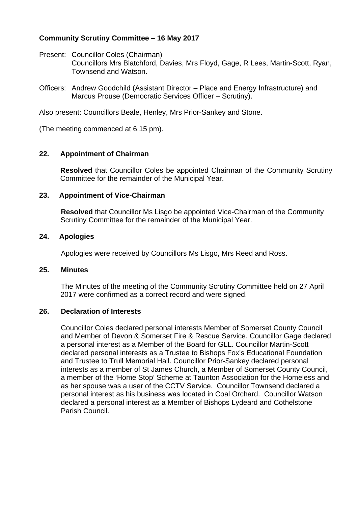# **Community Scrutiny Committee – 16 May 2017**

- Present: Councillor Coles (Chairman) Councillors Mrs Blatchford, Davies, Mrs Floyd, Gage, R Lees, Martin-Scott, Ryan, Townsend and Watson.
- Officers: Andrew Goodchild (Assistant Director Place and Energy Infrastructure) and Marcus Prouse (Democratic Services Officer – Scrutiny).

Also present: Councillors Beale, Henley, Mrs Prior-Sankey and Stone.

(The meeting commenced at 6.15 pm).

### **22. Appointment of Chairman**

**Resolved** that Councillor Coles be appointed Chairman of the Community Scrutiny Committee for the remainder of the Municipal Year.

### **23. Appointment of Vice-Chairman**

**Resolved** that Councillor Ms Lisgo be appointed Vice-Chairman of the Community Scrutiny Committee for the remainder of the Municipal Year.

### **24. Apologies**

Apologies were received by Councillors Ms Lisgo, Mrs Reed and Ross.

### **25. Minutes**

The Minutes of the meeting of the Community Scrutiny Committee held on 27 April 2017 were confirmed as a correct record and were signed.

## **26. Declaration of Interests**

Councillor Coles declared personal interests Member of Somerset County Council and Member of Devon & Somerset Fire & Rescue Service. Councillor Gage declared a personal interest as a Member of the Board for GLL. Councillor Martin-Scott declared personal interests as a Trustee to Bishops Fox's Educational Foundation and Trustee to Trull Memorial Hall. Councillor Prior-Sankey declared personal interests as a member of St James Church, a Member of Somerset County Council, a member of the 'Home Stop' Scheme at Taunton Association for the Homeless and as her spouse was a user of the CCTV Service. Councillor Townsend declared a personal interest as his business was located in Coal Orchard. Councillor Watson declared a personal interest as a Member of Bishops Lydeard and Cothelstone Parish Council.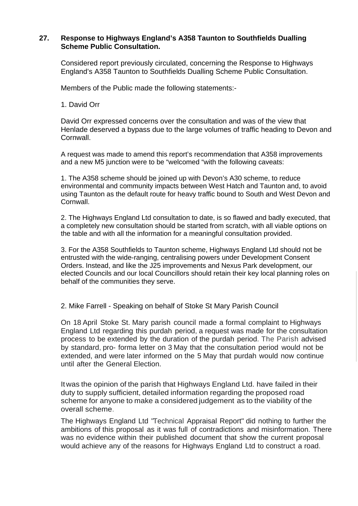## **27. Response to Highways England's A358 Taunton to Southfields Dualling Scheme Public Consultation.**

Considered report previously circulated, concerning the Response to Highways England's A358 Taunton to Southfields Dualling Scheme Public Consultation.

Members of the Public made the following statements:-

1. David Orr

David Orr expressed concerns over the consultation and was of the view that Henlade deserved a bypass due to the large volumes of traffic heading to Devon and Cornwall.

A request was made to amend this report's recommendation that A358 improvements and a new M5 junction were to be "welcomed "with the following caveats:

1. The A358 scheme should be joined up with Devon's A30 scheme, to reduce environmental and community impacts between West Hatch and Taunton and, to avoid using Taunton as the default route for heavy traffic bound to South and West Devon and Cornwall.

2. The Highways England Ltd consultation to date, is so flawed and badly executed, that a completely new consultation should be started from scratch, with all viable options on the table and with all the information for a meaningful consultation provided.

3. For the A358 Southfields to Taunton scheme, Highways England Ltd should not be entrusted with the wide-ranging, centralising powers under Development Consent Orders. Instead, and like the J25 improvements and Nexus Park development, our elected Councils and our local Councillors should retain their key local planning roles on behalf of the communities they serve.

2. Mike Farrell - Speaking on behalf of Stoke St Mary Parish Council

On 18 April Stoke St. Mary parish council made a formal complaint to Highways England Ltd regarding this purdah period, a request was made for the consultation process to be extended by the duration of the purdah period. The Parish advised by standard, pro- forma letter on 3 May that the consultation period would not be extended, and were later informed on the 5 May that purdah would now continue until after the General Election.

Itwas the opinion of the parish that Highways England Ltd. have failed in their duty to supply sufficient, detailed information regarding the proposed road scheme for anyone to make a considered judgement as to the viability of the overall scheme.

The Highways England Ltd "Technical Appraisal Report" did nothing to further the ambitions of this proposal as it was full of contradictions and misinformation. There was no evidence within their published document that show the current proposal would achieve any of the reasons for Highways England Ltd to construct a road.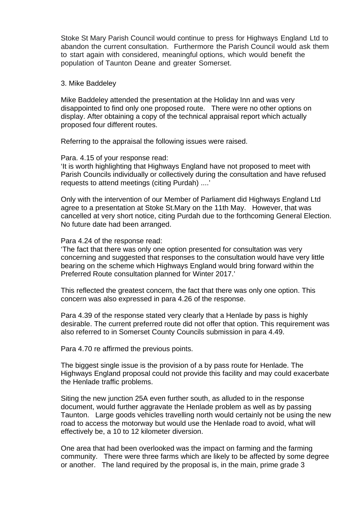Stoke St Mary Parish Council would continue to press for Highways England Ltd to abandon the current consultation. Furthermore the Parish Council would ask them to start again with considered, meaningful options, which would benefit the population of Taunton Deane and greater Somerset.

#### 3. Mike Baddeley

Mike Baddeley attended the presentation at the Holiday Inn and was very disappointed to find only one proposed route. There were no other options on display. After obtaining a copy of the technical appraisal report which actually proposed four different routes.

Referring to the appraisal the following issues were raised.

#### Para. 4.15 of your response read:

'It is worth highlighting that Highways England have not proposed to meet with Parish Councils individually or collectively during the consultation and have refused requests to attend meetings (citing Purdah) ....'

Only with the intervention of our Member of Parliament did Highways England Ltd agree to a presentation at Stoke St.Mary on the 11th May. However, that was cancelled at very short notice, citing Purdah due to the forthcoming General Election. No future date had been arranged.

#### Para 4.24 of the response read:

'The fact that there was only one option presented for consultation was very concerning and suggested that responses to the consultation would have very little bearing on the scheme which Highways England would bring forward within the Preferred Route consultation planned for Winter 2017.'

This reflected the greatest concern, the fact that there was only one option. This concern was also expressed in para 4.26 of the response.

Para 4.39 of the response stated very clearly that a Henlade by pass is highly desirable. The current preferred route did not offer that option. This requirement was also referred to in Somerset County Councils submission in para 4.49.

Para 4.70 re affirmed the previous points.

The biggest single issue is the provision of a by pass route for Henlade. The Highways England proposal could not provide this facility and may could exacerbate the Henlade traffic problems.

Siting the new junction 25A even further south, as alluded to in the response document, would further aggravate the Henlade problem as well as by passing Taunton. Large goods vehicles travelling north would certainly not be using the new road to access the motorway but would use the Henlade road to avoid, what will effectively be, a 10 to 12 kilometer diversion.

One area that had been overlooked was the impact on farming and the farming community. There were three farms which are likely to be affected by some degree or another. The land required by the proposal is, in the main, prime grade 3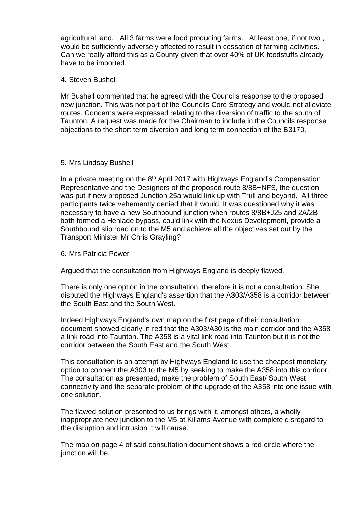agricultural land. All 3 farms were food producing farms. At least one, if not two , would be sufficiently adversely affected to result in cessation of farming activities. Can we really afford this as a County given that over 40% of UK foodstuffs already have to be imported.

### 4. Steven Bushell

Mr Bushell commented that he agreed with the Councils response to the proposed new junction. This was not part of the Councils Core Strategy and would not alleviate routes. Concerns were expressed relating to the diversion of traffic to the south of Taunton. A request was made for the Chairman to include in the Councils response objections to the short term diversion and long term connection of the B3170.

### 5. Mrs Lindsay Bushell

In a private meeting on the  $8<sup>th</sup>$  April 2017 with Highways England's Compensation Representative and the Designers of the proposed route 8/8B+NFS, the question was put if new proposed Junction 25a would link up with Trull and beyond. All three participants twice vehemently denied that it would. It was questioned why it was necessary to have a new Southbound junction when routes 8/8B+J25 and 2A/2B both formed a Henlade bypass, could link with the Nexus Development, provide a Southbound slip road on to the M5 and achieve all the objectives set out by the Transport Minister Mr Chris Grayling?

### 6. Mrs Patricia Power

Argued that the consultation from Highways England is deeply flawed.

There is only one option in the consultation, therefore it is not a consultation. She disputed the Highways England's assertion that the A303/A358 is a corridor between the South East and the South West.

Indeed Highways England's own map on the first page of their consultation document showed clearly in red that the A303/A30 is the main corridor and the A358 a link road into Taunton. The A358 is a vital link road into Taunton but it is not the corridor between the South East and the South West.

This consultation is an attempt by Highways England to use the cheapest monetary option to connect the A303 to the M5 by seeking to make the A358 into this corridor. The consultation as presented, make the problem of South East/ South West connectivity and the separate problem of the upgrade of the A358 into one issue with one solution.

The flawed solution presented to us brings with it, amongst others, a wholly inappropriate new junction to the M5 at Killams Avenue with complete disregard to the disruption and intrusion it will cause.

The map on page 4 of said consultation document shows a red circle where the junction will be.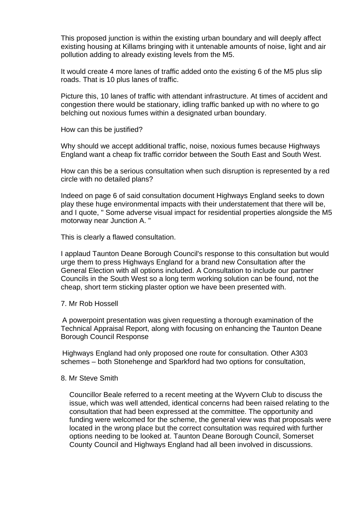This proposed junction is within the existing urban boundary and will deeply affect existing housing at Killams bringing with it untenable amounts of noise, light and air pollution adding to already existing levels from the M5.

It would create 4 more lanes of traffic added onto the existing 6 of the M5 plus slip roads. That is 10 plus lanes of traffic.

Picture this, 10 lanes of traffic with attendant infrastructure. At times of accident and congestion there would be stationary, idling traffic banked up with no where to go belching out noxious fumes within a designated urban boundary.

How can this be justified?

Why should we accept additional traffic, noise, noxious fumes because Highways England want a cheap fix traffic corridor between the South East and South West.

How can this be a serious consultation when such disruption is represented by a red circle with no detailed plans?

Indeed on page 6 of said consultation document Highways England seeks to down play these huge environmental impacts with their understatement that there will be, and I quote, " Some adverse visual impact for residential properties alongside the M5 motorway near Junction A. "

This is clearly a flawed consultation.

I applaud Taunton Deane Borough Council's response to this consultation but would urge them to press Highways England for a brand new Consultation after the General Election with all options included. A Consultation to include our partner Councils in the South West so a long term working solution can be found, not the cheap, short term sticking plaster option we have been presented with.

7. Mr Rob Hossell

 A powerpoint presentation was given requesting a thorough examination of the Technical Appraisal Report, along with focusing on enhancing the Taunton Deane Borough Council Response

 Highways England had only proposed one route for consultation. Other A303 schemes – both Stonehenge and Sparkford had two options for consultation,

#### 8. Mr Steve Smith

Councillor Beale referred to a recent meeting at the Wyvern Club to discuss the issue, which was well attended, identical concerns had been raised relating to the consultation that had been expressed at the committee. The opportunity and funding were welcomed for the scheme, the general view was that proposals were located in the wrong place but the correct consultation was required with further options needing to be looked at. Taunton Deane Borough Council, Somerset County Council and Highways England had all been involved in discussions.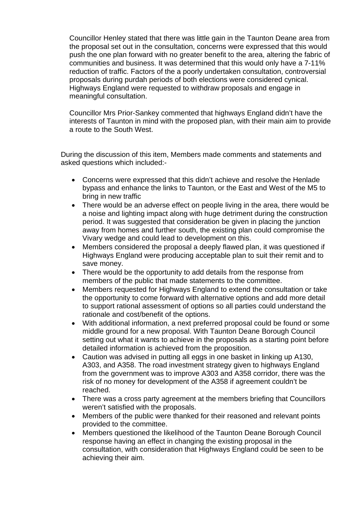Councillor Henley stated that there was little gain in the Taunton Deane area from the proposal set out in the consultation, concerns were expressed that this would push the one plan forward with no greater benefit to the area, altering the fabric of communities and business. It was determined that this would only have a 7-11% reduction of traffic. Factors of the a poorly undertaken consultation, controversial proposals during purdah periods of both elections were considered cynical. Highways England were requested to withdraw proposals and engage in meaningful consultation.

Councillor Mrs Prior-Sankey commented that highways England didn't have the interests of Taunton in mind with the proposed plan, with their main aim to provide a route to the South West.

During the discussion of this item, Members made comments and statements and asked questions which included:-

- Concerns were expressed that this didn't achieve and resolve the Henlade bypass and enhance the links to Taunton, or the East and West of the M5 to bring in new traffic
- There would be an adverse effect on people living in the area, there would be a noise and lighting impact along with huge detriment during the construction period. It was suggested that consideration be given in placing the junction away from homes and further south, the existing plan could compromise the Vivary wedge and could lead to development on this.
- Members considered the proposal a deeply flawed plan, it was questioned if Highways England were producing acceptable plan to suit their remit and to save money.
- There would be the opportunity to add details from the response from members of the public that made statements to the committee.
- Members requested for Highways England to extend the consultation or take the opportunity to come forward with alternative options and add more detail to support rational assessment of options so all parties could understand the rationale and cost/benefit of the options.
- With additional information, a next preferred proposal could be found or some middle ground for a new proposal. With Taunton Deane Borough Council setting out what it wants to achieve in the proposals as a starting point before detailed information is achieved from the proposition.
- Caution was advised in putting all eggs in one basket in linking up A130, A303, and A358. The road investment strategy given to highways England from the government was to improve A303 and A358 corridor, there was the risk of no money for development of the A358 if agreement couldn't be reached.
- There was a cross party agreement at the members briefing that Councillors weren't satisfied with the proposals.
- Members of the public were thanked for their reasoned and relevant points provided to the committee.
- Members questioned the likelihood of the Taunton Deane Borough Council response having an effect in changing the existing proposal in the consultation, with consideration that Highways England could be seen to be achieving their aim.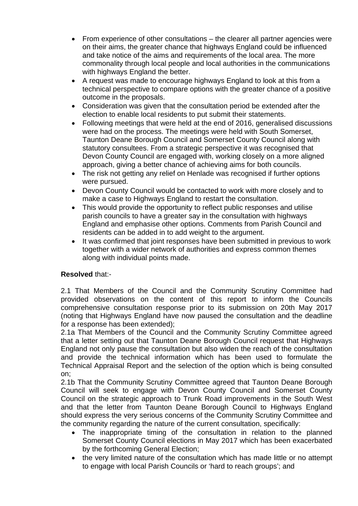- From experience of other consultations the clearer all partner agencies were on their aims, the greater chance that highways England could be influenced and take notice of the aims and requirements of the local area. The more commonality through local people and local authorities in the communications with highways England the better.
- A request was made to encourage highways England to look at this from a technical perspective to compare options with the greater chance of a positive outcome in the proposals.
- Consideration was given that the consultation period be extended after the election to enable local residents to put submit their statements.
- Following meetings that were held at the end of 2016, generalised discussions were had on the process. The meetings were held with South Somerset, Taunton Deane Borough Council and Somerset County Council along with statutory consultees. From a strategic perspective it was recognised that Devon County Council are engaged with, working closely on a more aligned approach, giving a better chance of achieving aims for both councils.
- The risk not getting any relief on Henlade was recognised if further options were pursued.
- Devon County Council would be contacted to work with more closely and to make a case to Highways England to restart the consultation.
- This would provide the opportunity to reflect public responses and utilise parish councils to have a greater say in the consultation with highways England and emphasise other options. Comments from Parish Council and residents can be added in to add weight to the argument.
- It was confirmed that joint responses have been submitted in previous to work together with a wider network of authorities and express common themes along with individual points made.

# **Resolved** that:-

2.1 That Members of the Council and the Community Scrutiny Committee had provided observations on the content of this report to inform the Councils comprehensive consultation response prior to its submission on 20th May 2017 (noting that Highways England have now paused the consultation and the deadline for a response has been extended);

2.1a That Members of the Council and the Community Scrutiny Committee agreed that a letter setting out that Taunton Deane Borough Council request that Highways England not only pause the consultation but also widen the reach of the consultation and provide the technical information which has been used to formulate the Technical Appraisal Report and the selection of the option which is being consulted on;

2.1b That the Community Scrutiny Committee agreed that Taunton Deane Borough Council will seek to engage with Devon County Council and Somerset County Council on the strategic approach to Trunk Road improvements in the South West and that the letter from Taunton Deane Borough Council to Highways England should express the very serious concerns of the Community Scrutiny Committee and the community regarding the nature of the current consultation, specifically:

- The inappropriate timing of the consultation in relation to the planned Somerset County Council elections in May 2017 which has been exacerbated by the forthcoming General Election;
- the very limited nature of the consultation which has made little or no attempt to engage with local Parish Councils or 'hard to reach groups'; and